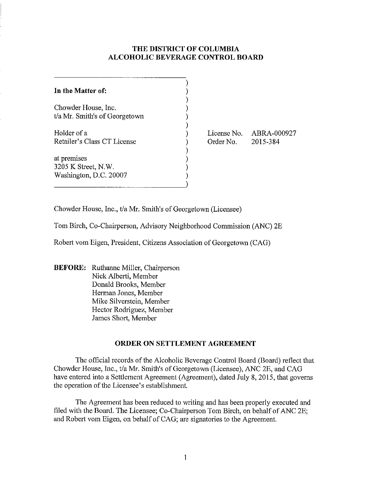# **THE DISTRICT OF COLUMBIA ALCOHOLIC BEVERAGE CONTROL BOARD**

| In the Matter of:             |  |
|-------------------------------|--|
| Chowder House, Inc.           |  |
| t/a Mr. Smith's of Georgetown |  |
| Holder of a                   |  |
| Retailer's Class CT License   |  |
| at premises                   |  |
| 3205 K Street, N.W.           |  |
| Washington, D.C. 20007        |  |
|                               |  |

License No. ABRA-000927 Order No. 2015-384

Chowder House, Inc., tla Mr. Smith's of Georgetown (Licensee)

Tom Birch, Co-Chairperson, Advisory Neighborhood Commission (ANC) 2E

Robert vom Eigen, President, Citizens Association of Georgetown (CAG)

**BEFORE:** Ruthanne Miller, Chairperson Nick Alberti, Member Donald Brooks, Member Herman Jones, Member Mike Silverstein, Member Hector Rodriguez, Member James Short, Member

## **ORDER ON SETTLEMENT AGREEMENT**

The official records of the Alcoholic Beverage Control Board (Board) reflect that Chowder House, Inc., *t/a* Mr. Smith's of Georgetown (Licensee), ANC 2E, and CAG have entered into a Settlement Agreement (Agreement), dated July 8, 2015, that governs the operation of the Licensee's establishment.

The Agreement has been reduced to writing and has been properly executed and filed with the Board. The Licensee; Co-Chairperson Tom Birch, on behalf of ANC 2E; and Robert vom Eigen, on behalf of CAG; are signatories to the Agreement.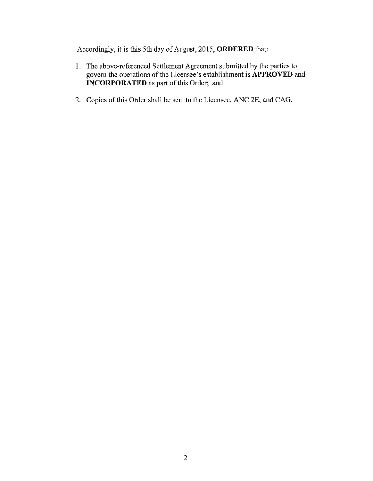Accordingly, it is this 5th day of August, 2015, **ORDERED** that:

- 1. The above-referenced Settlement Agreement submitted by the parties to govern the operations of the Licensee's establishment is **APPROVED** and **INCORPORATED** as part of this Order; and
- 2. Copies of this Order shall be sent to the Licensee, ANC 2E, and CAG.

 $\mathcal{L}$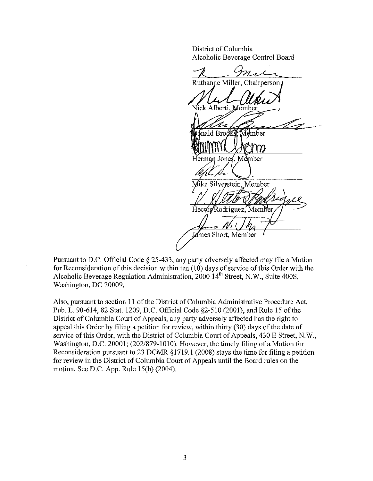District of Columbia Alcoholic Beverage Control Board

Ruthanne Miller, Chairperson Nick Alberti. Memh  $\mathop{\text{rad}}$  Brooks Admber  $\bm{m}$ Herman Jones, Member Mike Silverstein, Member Hector Rodriguez, Member James Short, Member

Pursuant to D.C. Official Code § 2S-433, any party adversely affected may file a Motion for Reconsideration of this decision within ten (10) days of service of this Order with the Alcoholic Beverage Regulation Administration,  $2000$   $14<sup>th</sup>$  Street, N.W., Suite 400S, Washington, DC 20009.

Also, pursuant to section 11 of the District of Columbia Administrative Procedure Act, Pub. L. 90-614, 82 Stat. 1209, D.C. Official Code §2-510 (2001), and Rule 15 of the District of Colmnbia Court of Appeals, any party adversely affected has the right to appeal this Order by filing a petition for review, within thirty (30) days of the date of service of this Order, with the District of Columbia Court of Appeals, 430 E Street, N.W., Washington, D.C. 20001; (202/879-1010). However, the timely filing of a Motion for Reconsideration pursuant to 23 DCMR § 1719.1 (2008) stays the time for filing a petition for review in the District of Columbia Court of Appeals until the Board rules on the motion. See D.C. App. Rule IS(b) (2004).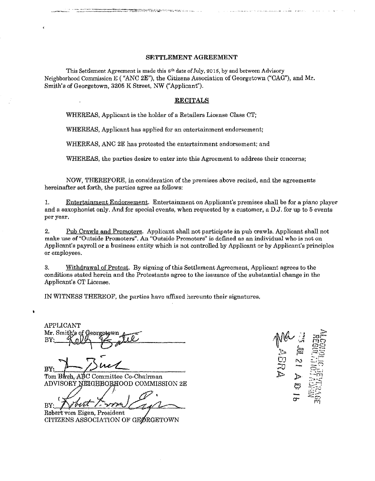### SETTLEMENT AGREEMENT

This Settlement Agreement is made this  $8<sup>th</sup>$  date of July, 2015, by and between Advisory Neighborhood Commission E ("ANC 2E"), the Citizens Association of Georgetown ("CAG"), and Mr. Smith's of Georgetown, 3205 K Street, NW ("Applicant").

#### RECITALS

WHEREAS, Applicant is the holder of a Retailers License Class CT;

.<br>PO VERBOG PRINCE IN CASA LORD DE L'ANDI DE L'ORD DE L'ANDRE DE L'ORD DE L'ORD DE L'ORD DE L'ORD DE L'ORD DE L'<br>POSTE TRANS L'ORD DE L'ORD DE L'ORD DE L'ORD DE L'ORD DE L'ORD DE L'ORD DE L'ORD DE L'ORD DE L'ORD DE L'ORD D

WHEREAS, Applicant has applied for an entertainment endorsement;

WHEREAS, ANC 2E has protested the entertainment endorsement; and

WHEREAS, the parties desire to enter into this Agreement to address their concerns;

NOW, THEREFORE, in consideration of the premises above recited, and the agreements hereinafter set forth, the parties agree as follows:

1. Entertainment Endorsement. Entertainment on Applicant's premises shall be for a piano player and a saxophonist only. And for special events, when requested by a customer, a D.J. for up to 5 events per year.

2. Pub Crawls and Promoters. Applicant shall not participate in pub crawls. Applicant shall not **make use** of "Outside **Promoters". An "Outside Promoters" is defined as an individual who is not <sup>011</sup>** Applicant's payroll or a business entity which is not controlled by Applicant or by Applicant's principles or employees.

3. Withdrawal of Protest. By signing of this Settlement Agreement, Applicant agrees to the conditions stated herein and the Protestants agree to the issuance ofthe substantial change in the Applicant's CT License.

IN WITNESS THEREOF, the parties have affixed hereunto their signatures.

APPLICANT APPLICANT<br>Mr. Smith's of Georgetown<br>BY: "Rolly Y<del>'S</del> mill

Buck

Tom Birch, ABC Committee Co-Chairman ADVISORY NEIGHBORHOOD COMMISSION 2E

 $BY: \mathcal{N}$ vitt  $\mathcal{N}$ hairman<br>COMMISSION 2E

Rdbel'tvom CITIZENS ASSOCIATION OF GEØRGETOWN Eigen, President